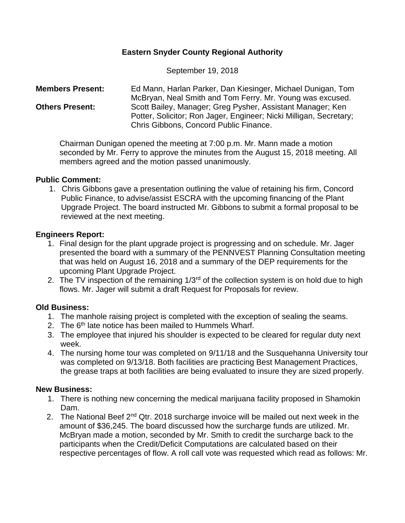## **Eastern Snyder County Regional Authority**

September 19, 2018

**Members Present:** Ed Mann, Harlan Parker, Dan Kiesinger, Michael Dunigan, Tom McBryan, Neal Smith and Tom Ferry. Mr. Young was excused. **Others Present:** Scott Bailey, Manager; Greg Pysher, Assistant Manager; Ken Potter, Solicitor; Ron Jager, Engineer; Nicki Milligan, Secretary; Chris Gibbons, Concord Public Finance.

Chairman Dunigan opened the meeting at 7:00 p.m. Mr. Mann made a motion seconded by Mr. Ferry to approve the minutes from the August 15, 2018 meeting. All members agreed and the motion passed unanimously.

#### **Public Comment:**

1. Chris Gibbons gave a presentation outlining the value of retaining his firm, Concord Public Finance, to advise/assist ESCRA with the upcoming financing of the Plant Upgrade Project. The board instructed Mr. Gibbons to submit a formal proposal to be reviewed at the next meeting.

#### **Engineers Report:**

- 1. Final design for the plant upgrade project is progressing and on schedule. Mr. Jager presented the board with a summary of the PENNVEST Planning Consultation meeting that was held on August 16, 2018 and a summary of the DEP requirements for the upcoming Plant Upgrade Project.
- 2. The TV inspection of the remaining  $1/3<sup>rd</sup>$  of the collection system is on hold due to high flows. Mr. Jager will submit a draft Request for Proposals for review.

### **Old Business:**

- 1. The manhole raising project is completed with the exception of sealing the seams.
- 2. The 6<sup>th</sup> late notice has been mailed to Hummels Wharf.
- 3. The employee that injured his shoulder is expected to be cleared for regular duty next week.
- 4. The nursing home tour was completed on 9/11/18 and the Susquehanna University tour was completed on 9/13/18. Both facilities are practicing Best Management Practices, the grease traps at both facilities are being evaluated to insure they are sized properly.

### **New Business:**

- 1. There is nothing new concerning the medical marijuana facility proposed in Shamokin Dam.
- 2. The National Beef 2<sup>nd</sup> Qtr. 2018 surcharge invoice will be mailed out next week in the amount of \$36,245. The board discussed how the surcharge funds are utilized. Mr. McBryan made a motion, seconded by Mr. Smith to credit the surcharge back to the participants when the Credit/Deficit Computations are calculated based on their respective percentages of flow. A roll call vote was requested which read as follows: Mr.